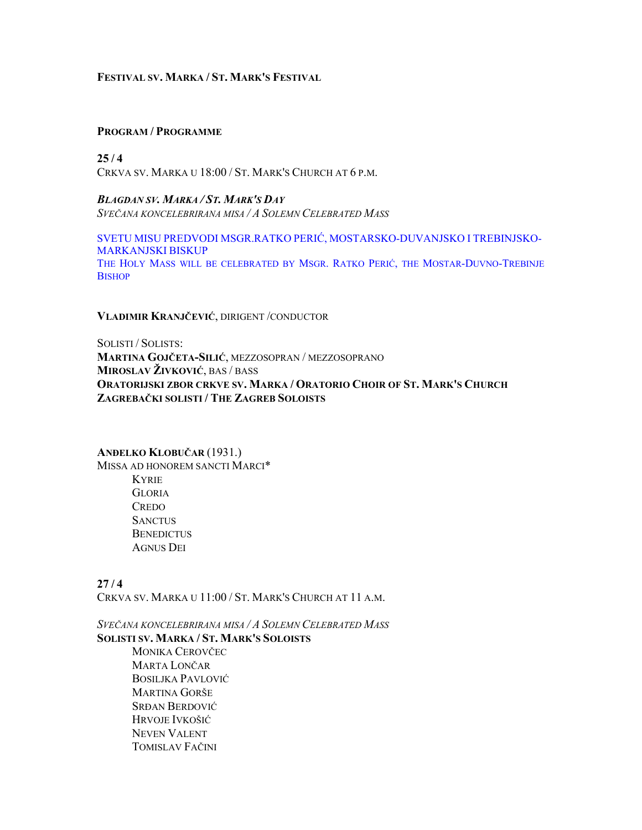## **FESTIVAL SV. MARKA / ST. MARK'S FESTIVAL**

#### **PROGRAM / PROGRAMME**

 $25/4$ CRKVA SV. MARKA U 18:00 / ST. MARK'S CHURCH AT 6 P.M.

*BLAGDAN SV. MARKA / ST. MARK'S DAY SVEČANA KONCELEBRIRANA MISA / A SOLEMN CELEBRATED MASS*

SVETU MISU PREDVODI MSGR.RATKO PERIĆ, MOSTARSKO-DUVANJSKO I TREBINJSKO-MARKANJSKI BISKUP THE HOLY MASS WILL BE CELEBRATED BY MSGR. RATKO PERIĆ, THE MOSTAR-DUVNO-TREBINJE **BISHOP** 

**VLADIMIR KRANJČEVIĆ**, DIRIGENT /CONDUCTOR

SOLISTI / SOLISTS: **MARTINA GOJČETA-SILIĆ**, MEZZOSOPRAN / MEZZOSOPRANO **MIROSLAV ŽIVKOVIĆ**, BAS / BASS **ORATORIJSKI ZBOR CRKVE SV. MARKA / ORATORIO CHOIR OF ST. MARK'S CHURCH ZAGREBAČKI SOLISTI / THE ZAGREB SOLOISTS**

## **ANĐELKO KLOBUČAR** (1931.)

MISSA AD HONOREM SANCTI MARCI\* KYRIE **GLORIA CREDO SANCTUS BENEDICTUS** AGNUS DEI

 $27/4$ CRKVA SV. MARKA U 11:00 / ST. MARK'S CHURCH AT 11 A.M.

*SVEČANA KONCELEBRIRANA MISA / A SOLEMN CELEBRATED MASS* **SOLISTI SV. MARKA / ST. MARK'S SOLOISTS**

MONIKA CEROVČEC MARTA LONČAR BOSILJKA PAVLOVIĆ MARTINA GORŠE SRĐAN BERDOVIĆ HRVOJE IVKOŠIĆ NEVEN VALENT TOMISLAV FAČINI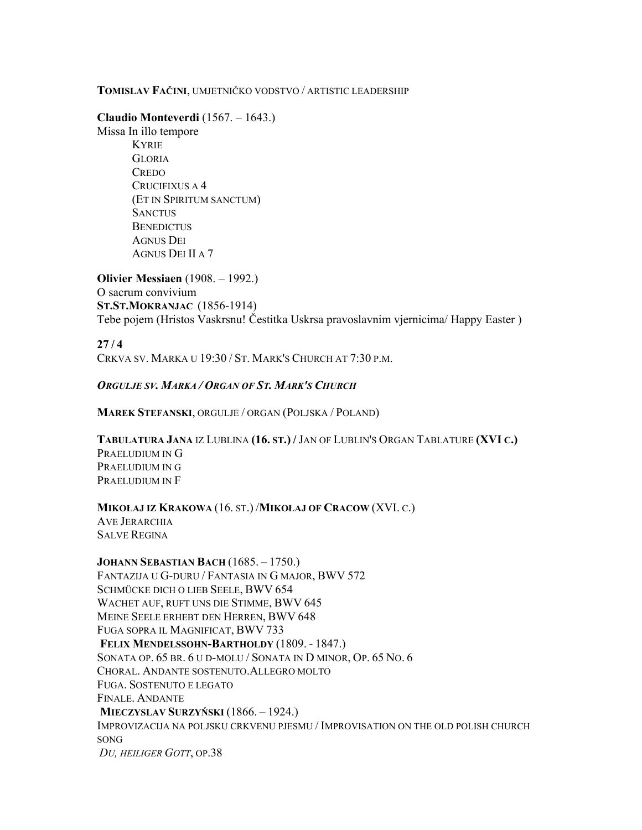## **TOMISLAV FAČINI**, UMJETNIČKO VODSTVO / ARTISTIC LEADERSHIP

**Claudio Monteverdi** (1567. – 1643.)

Missa In illo tempore KYRIE **GLORIA CREDO** CRUCIFIXUS A 4 (ET IN SPIRITUM SANCTUM) **SANCTUS BENEDICTUS** AGNUS DEI AGNUS DEI II A 7

**Olivier Messiaen** (1908. – 1992.) O sacrum convivium **ST.ST.MOKRANJAC** (1856-1914) Tebe pojem (Hristos Vaskrsnu! Čestitka Uskrsa pravoslavnim vjernicima/ Happy Easter )

 $27/4$ CRKVA SV. MARKA U 19:30 / ST. MARK'S CHURCH AT 7:30 P.M.

## *ORGULJE SV. MARKA / ORGAN OF ST. MARK'S CHURCH*

**MAREK STEFANSKI**, ORGULJE / ORGAN (POLJSKA / POLAND)

**TABULATURA JANA** IZ LUBLINA **(16. ST.) /** JAN OF LUBLIN'S ORGAN TABLATURE **(XVI C.)** PRAELUDIUM IN G PRAELUDIUM IN G PRAELUDIUM IN F

**MIKOŁAJ IZ KRAKOWA** (16. ST.) /**MIKOŁAJ OF CRACOW** (XVI. C.)

AVE JERARCHIA SALVE REGINA

**JOHANN SEBASTIAN BACH** (1685. – 1750.) FANTAZIJA U G-DURU / FANTASIA IN G MAJOR, BWV 572 SCHMÜCKE DICH O LIEB SEELE, BWV 654 WACHET AUF, RUFT UNS DIE STIMME, BWV 645 MEINE SEELE ERHEBT DEN HERREN, BWV 648 FUGA SOPRA IL MAGNIFICAT, BWV 733 **FELIX MENDELSSOHN-BARTHOLDY** (1809. - 1847.) SONATA OP. 65 BR. 6 U D-MOLU / SONATA IN D MINOR, OP. 65 NO. 6 CHORAL. ANDANTE SOSTENUTO.ALLEGRO MOLTO FUGA. SOSTENUTO E LEGATO FINALE. ANDANTE **MIECZYSLAV SURZYŃSKI** (1866. – 1924.) IMPROVIZACIJA NA POLJSKU CRKVENU PJESMU / IMPROVISATION ON THE OLD POLISH CHURCH SONG *DU, HEILIGER GOTT*, OP.38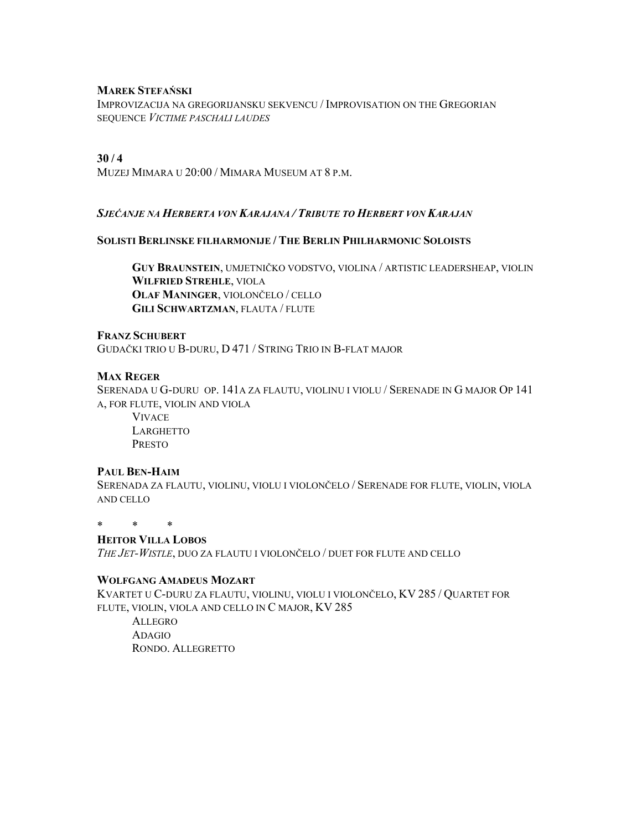#### **MAREK STEFAŃSKI**

IMPROVIZACIJA NA GREGORIJANSKU SEKVENCU / IMPROVISATION ON THE GREGORIAN SEQUENCE *VICTIME PASCHALI LAUDES*

## **30 / 4**

MUZEJ MIMARA U 20:00 / MIMARA MUSEUM AT 8 P.M.

## *SJEĆANJE NA HERBERTA VON KARAJANA / TRIBUTE TO HERBERT VON KARAJAN*

#### **SOLISTI BERLINSKE FILHARMONIJE / THE BERLIN PHILHARMONIC SOLOISTS**

**GUY BRAUNSTEIN**, UMJETNIČKO VODSTVO, VIOLINA / ARTISTIC LEADERSHEAP, VIOLIN **WILFRIED STREHLE**, VIOLA **OLAF MANINGER**, VIOLONČELO / CELLO **GILI SCHWARTZMAN**, FLAUTA / FLUTE

## **FRANZ SCHUBERT**

GUDAČKI TRIO U B-DURU, D 471 / STRING TRIO IN B-FLAT MAJOR

## **MAX REGER**

SERENADA U G-DURU OP. 141A ZA FLAUTU, VIOLINU I VIOLU / SERENADE IN G MAJOR OP 141 A, FOR FLUTE, VIOLIN AND VIOLA

 VIVACE **LARGHETTO** PRESTO

#### **PAUL BEN-HAIM**

SERENADA ZA FLAUTU, VIOLINU, VIOLU I VIOLONČELO / SERENADE FOR FLUTE, VIOLIN, VIOLA AND CELLO

\* \* \*

## **HEITOR VILLA LOBOS**

*THE JET-WISTLE*, DUO ZA FLAUTU I VIOLONČELO / DUET FOR FLUTE AND CELLO

## **WOLFGANG AMADEUS MOZART**

KVARTET U C-DURU ZA FLAUTU, VIOLINU, VIOLU I VIOLONČELO, KV 285 / QUARTET FOR FLUTE, VIOLIN, VIOLA AND CELLO IN C MAJOR, KV 285

 ALLEGRO ADAGIO RONDO. ALLEGRETTO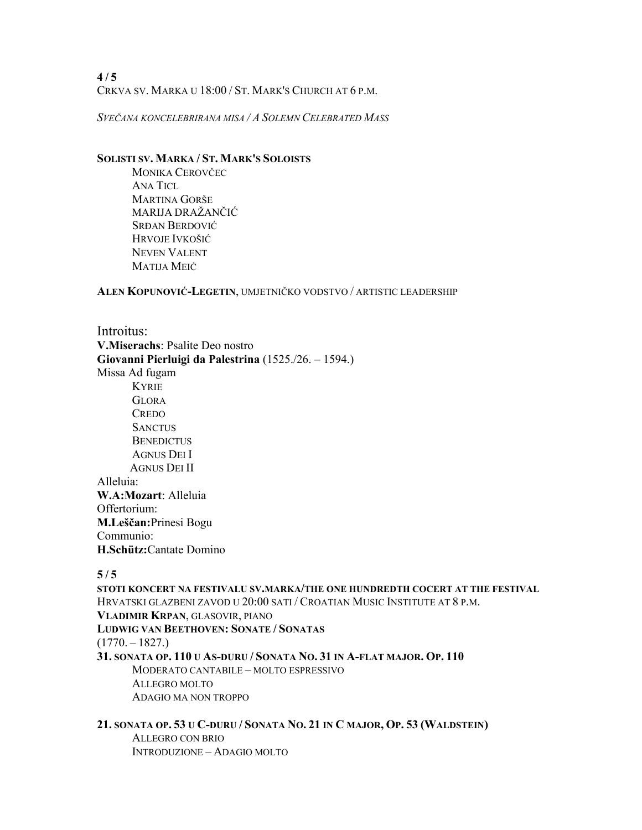**4 / 5**  CRKVA SV. MARKA U 18:00 / ST. MARK'S CHURCH AT 6 P.M.

*SVEČANA KONCELEBRIRANA MISA / A SOLEMN CELEBRATED MASS*

## **SOLISTI SV. MARKA / ST. MARK'S SOLOISTS**

MONIKA CEROVČEC ANA TICL MARTINA GORŠE MARIJA DRAŽANČIĆ SRĐAN BERDOVIĆ HRVOJE IVKOŠIĆ NEVEN VALENT MATIJA MEIĆ

**ALEN KOPUNOVIĆ-LEGETIN**, UMJETNIČKO VODSTVO / ARTISTIC LEADERSHIP

Introitus: **V.Miserachs**: Psalite Deo nostro **Giovanni Pierluigi da Palestrina** (1525./26. – 1594.) Missa Ad fugam KYRIE GLORA **CREDO SANCTUS BENEDICTUS**  AGNUS DEI I AGNUS DEI II Alleluia: **W.A:Mozart**: Alleluia Offertorium: **M.Leščan:**Prinesi Bogu Communio: **H.Schütz:**Cantate Domino

## $5/5$

**STOTI KONCERT NA FESTIVALU SV.MARKA/THE ONE HUNDREDTH COCERT AT THE FESTIVAL** HRVATSKI GLAZBENI ZAVOD U 20:00 SATI / CROATIAN MUSIC INSTITUTE AT 8 P.M. **VLADIMIR KRPAN**, GLASOVIR, PIANO **LUDWIG VAN BEETHOVEN: SONATE / SONATAS**  $(1770. - 1827.)$ **31. SONATA OP. 110 U AS-DURU / SONATA NO. 31 IN A-FLAT MAJOR. OP. 110** MODERATO CANTABILE – MOLTO ESPRESSIVO ALLEGRO MOLTO ADAGIO MA NON TROPPO

#### **21. SONATA OP. 53 U C-DURU / SONATA NO. 21 IN C MAJOR, OP. 53 (WALDSTEIN)**  ALLEGRO CON BRIO

INTRODUZIONE – ADAGIO MOLTO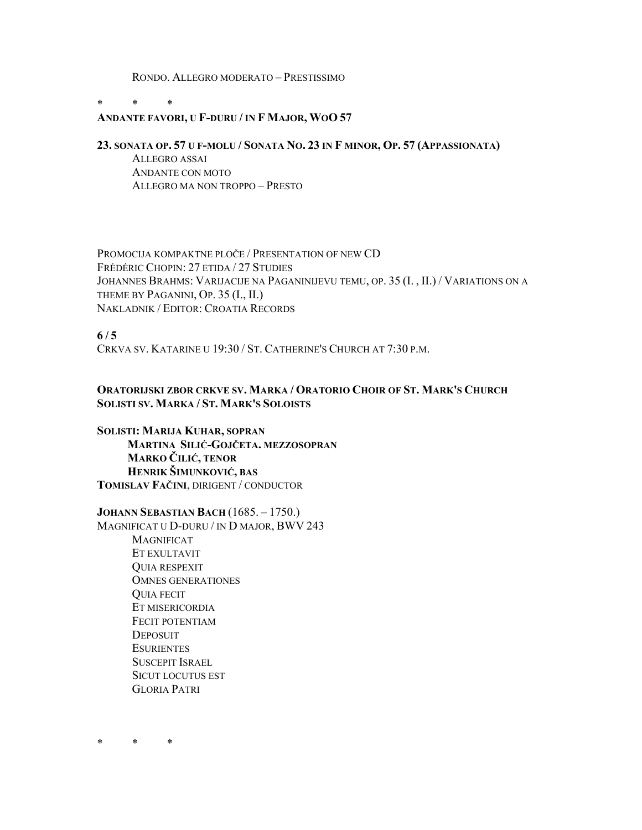RONDO. ALLEGRO MODERATO – PRESTISSIMO

 $*$  \* \*

## **ANDANTE FAVORI, U F-DURU / IN F MAJOR, WOO 57**

## **23. SONATA OP. 57 U F-MOLU / SONATA NO. 23 IN F MINOR, OP. 57 (APPASSIONATA)**

ALLEGRO ASSAI ANDANTE CON MOTO ALLEGRO MA NON TROPPO – PRESTO

PROMOCIJA KOMPAKTNE PLOČE / PRESENTATION OF NEW CD FRÉDÉRIC CHOPIN: 27 ETIDA / 27 STUDIES JOHANNES BRAHMS: VARIJACIJE NA PAGANINIJEVU TEMU, OP. 35 (I. , II.) / VARIATIONS ON A THEME BY PAGANINI, OP. 35 (I., II.) NAKLADNIK / EDITOR: CROATIA RECORDS

**6 / 5** 

CRKVA SV. KATARINE U 19:30 / ST. CATHERINE'S CHURCH AT 7:30 P.M.

## **ORATORIJSKI ZBOR CRKVE SV. MARKA / ORATORIO CHOIR OF ST. MARK'S CHURCH SOLISTI SV. MARKA / ST. MARK'S SOLOISTS**

**SOLISTI: MARIJA KUHAR, SOPRAN MARTINA SILIĆ-GOJČETA. MEZZOSOPRAN MARKO ČILIĆ, TENOR HENRIK ŠIMUNKOVIĆ, BAS TOMISLAV FAČINI**, DIRIGENT / CONDUCTOR

**JOHANN SEBASTIAN BACH** (1685. – 1750.)

MAGNIFICAT U D-DURU / IN D MAJOR, BWV 243 MAGNIFICAT ET EXULTAVIT QUIA RESPEXIT OMNES GENERATIONES QUIA FECIT ET MISERICORDIA FECIT POTENTIAM **DEPOSUIT ESURIENTES** SUSCEPIT ISRAEL SICUT LOCUTUS EST GLORIA PATRI

\* \* \*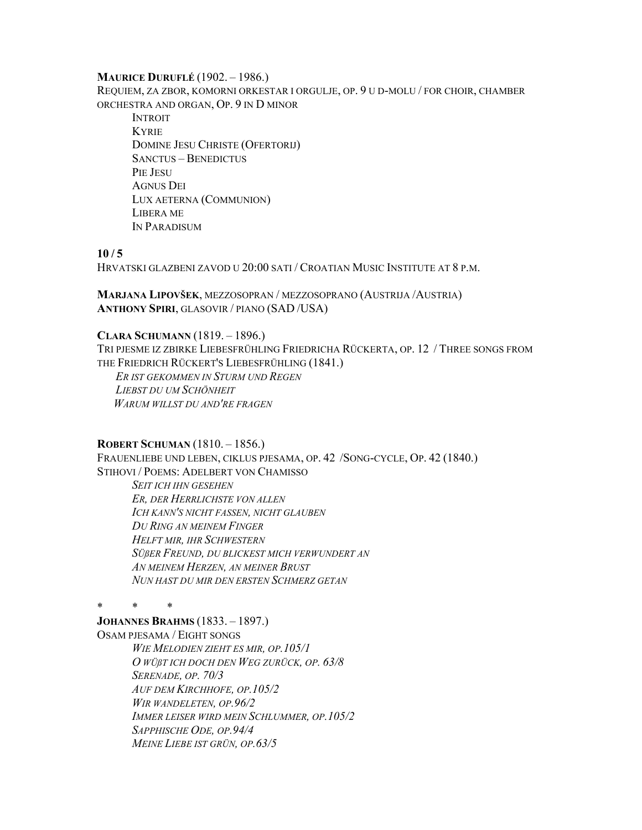#### **MAURICE DURUFLÉ** (1902. – 1986.)

REQUIEM, ZA ZBOR, KOMORNI ORKESTAR I ORGULJE, OP. 9 U D-MOLU / FOR CHOIR, CHAMBER ORCHESTRA AND ORGAN, OP. 9 IN D MINOR

INTROIT KYRIE DOMINE JESU CHRISTE (OFERTORIJ) SANCTUS – BENEDICTUS PIE JESU AGNUS DEI LUX AETERNA (COMMUNION) LIBERA ME IN PARADISUM

## $10/5$

HRVATSKI GLAZBENI ZAVOD U 20:00 SATI / CROATIAN MUSIC INSTITUTE AT 8 P.M.

**MARJANA LIPOVŠEK**, MEZZOSOPRAN / MEZZOSOPRANO (AUSTRIJA /AUSTRIA) **ANTHONY SPIRI**, GLASOVIR / PIANO (SAD /USA)

## **CLARA SCHUMANN** (1819. – 1896.)

TRI PJESME IZ ZBIRKE LIEBESFRÜHLING FRIEDRICHA RÜCKERTA, OP. 12 / THREE SONGS FROM THE FRIEDRICH RÜCKERT'S LIEBESFRÜHLING (1841.)

 *ER IST GEKOMMEN IN STURM UND REGEN LIEBST DU UM SCHÖNHEIT WARUM WILLST DU AND'RE FRAGEN*

## **ROBERT SCHUMAN** (1810. – 1856.)

FRAUENLIEBE UND LEBEN, CIKLUS PJESAMA, OP. 42 /SONG-CYCLE, OP. 42 (1840.) STIHOVI / POEMS: ADELBERT VON CHAMISSO

*SEIT ICH IHN GESEHEN ER, DER HERRLICHSTE VON ALLEN ICH KANN'S NICHT FASSEN, NICHT GLAUBEN DU RING AN MEINEM FINGER HELFT MIR, IHR SCHWESTERN SÜßER FREUND, DU BLICKEST MICH VERWUNDERT AN AN MEINEM HERZEN, AN MEINER BRUST NUN HAST DU MIR DEN ERSTEN SCHMERZ GETAN* 

\* \* \*

#### **JOHANNES BRAHMS** (1833. – 1897.)

OSAM PJESAMA / EIGHT SONGS *WIE MELODIEN ZIEHT ES MIR, OP.105/1 O WÜßT ICH DOCH DEN WEG ZURÜCK, OP. 63/8 SERENADE, OP. 70/3 AUF DEM KIRCHHOFE, OP.105/2 WIR WANDELETEN, OP.96/2 IMMER LEISER WIRD MEIN SCHLUMMER, OP.105/2 SAPPHISCHE ODE, OP.94/4 MEINE LIEBE IST GRÜN, OP.63/5*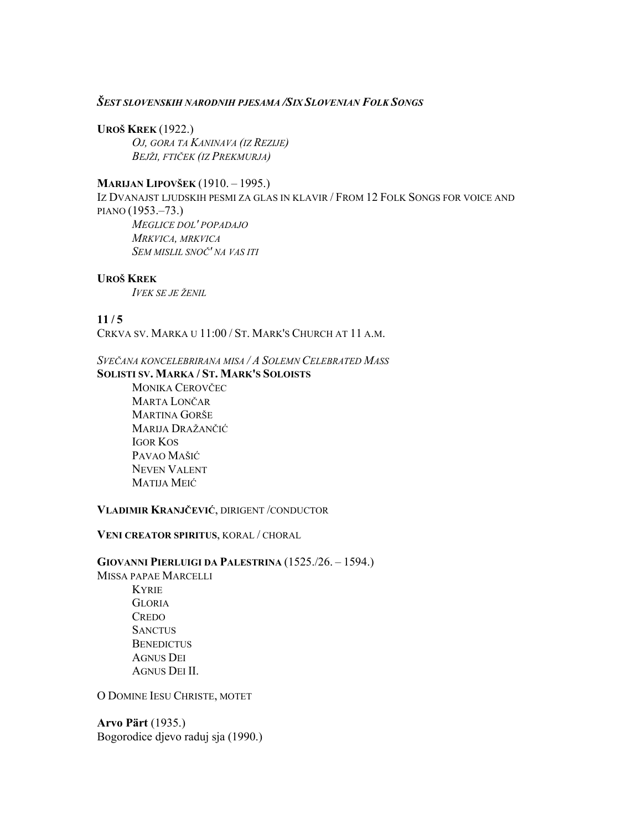# *ŠEST SLOVENSKIH NARODNIH PJESAMA /SIX SLOVENIAN FOLK SONGS*

## **UROŠ KREK** (1922.)

*OJ, GORA TA KANINAVA (IZ REZIJE) BEJŽI, FTIČEK (IZ PREKMURJA)* 

## **MARIJAN LIPOVŠEK** (1910. – 1995.)

IZ DVANAJST LJUDSKIH PESMI ZA GLAS IN KLAVIR / FROM 12 FOLK SONGS FOR VOICE AND PIANO (1953.–73.) *MEGLICE DOL' POPADAJO MRKVICA, MRKVICA SEM MISLIL SNOČ' NA VAS ITI* 

## **UROŠ KREK**

*IVEK SE JE ŽENIL*

## $11/5$

CRKVA SV. MARKA U 11:00 / ST. MARK'S CHURCH AT 11 A.M.

*SVEČANA KONCELEBRIRANA MISA / A SOLEMN CELEBRATED MASS*

## **SOLISTI SV. MARKA / ST. MARK'S SOLOISTS**

MONIKA CEROVČEC MARTA LONČAR MARTINA GORŠE MARIJA DRAŽANČIĆ IGOR KOS PAVAO MAŠIĆ NEVEN VALENT MATIJA MEIĆ

## **VLADIMIR KRANJČEVIĆ**, DIRIGENT /CONDUCTOR

## **VENI CREATOR SPIRITUS**, KORAL / CHORAL

**GIOVANNI PIERLUIGI DA PALESTRINA** (1525./26. – 1594.) MISSA PAPAE MARCELLI KYRIE GLORIA **CREDO SANCTUS BENEDICTUS** AGNUS DEI

AGNUS DEI II.

O DOMINE IESU CHRISTE, MOTET

**Arvo Pärt** (1935.) Bogorodice djevo raduj sja (1990.)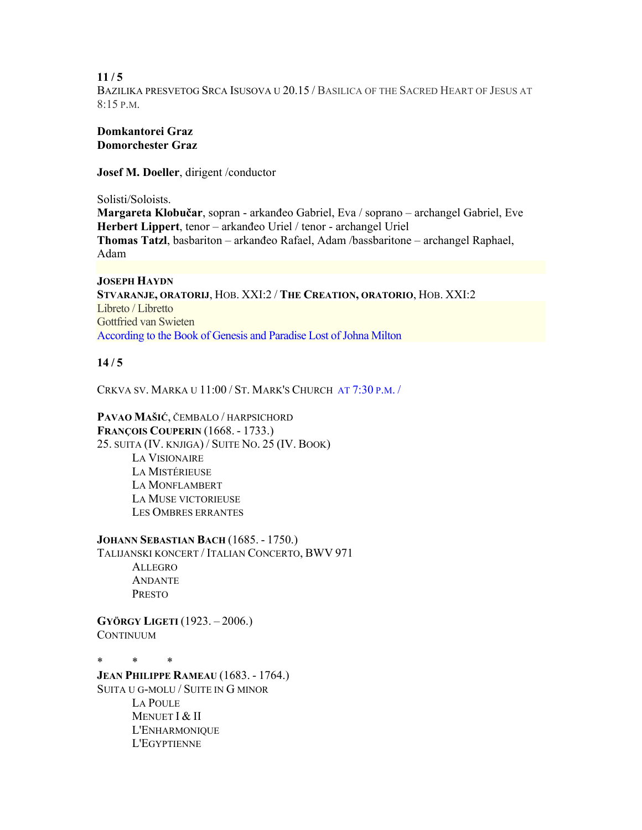$11/5$ BAZILIKA PRESVETOG SRCA ISUSOVA U 20.15 / BASILICA OF THE SACRED HEART OF JESUS AT 8:15 P.M.

## **Domkantorei Graz Domorchester Graz**

**Josef M. Doeller**, dirigent /conductor

Solisti/Soloists.

**Margareta Klobučar**, sopran - arkanđeo Gabriel, Eva / soprano – archangel Gabriel, Eve **Herbert Lippert**, tenor – arkanđeo Uriel / tenor - archangel Uriel **Thomas Tatzl**, basbariton – arkanđeo Rafael, Adam /bassbaritone – archangel Raphael, Adam

**JOSEPH HAYDN STVARANJE, ORATORIJ**, HOB. XXI:2 / **THE CREATION, ORATORIO**, HOB. XXI:2 Libreto / Libretto Gottfried van Swieten According to the Book of Genesis and Paradise Lost of Johna Milton

# $14/5$

CRKVA SV. MARKA U 11:00 / ST. MARK'S CHURCH AT 7:30 P.M. /

**PAVAO MAŠIĆ**, ČEMBALO / HARPSICHORD **FRANÇOIS COUPERIN** (1668. - 1733.) 25. SUITA (IV. KNJIGA) / SUITE NO. 25 (IV. BOOK) LA VISIONAIRE LA MISTÉRIEUSE LA MONFLAMBERT LA MUSE VICTORIEUSE LES OMBRES ERRANTES

**JOHANN SEBASTIAN BACH** (1685. - 1750.) TALIJANSKI KONCERT / ITALIAN CONCERTO, BWV 971 ALLEGRO ANDANTE PRESTO

**GYÖRGY LIGETI** (1923. – 2006.) **CONTINUUM** 

\* \* \* **JEAN PHILIPPE RAMEAU** (1683. - 1764.) SUITA U G-MOLU / SUITE IN G MINOR LA POULE MENUET I & II L'ENHARMONIQUE L'EGYPTIENNE